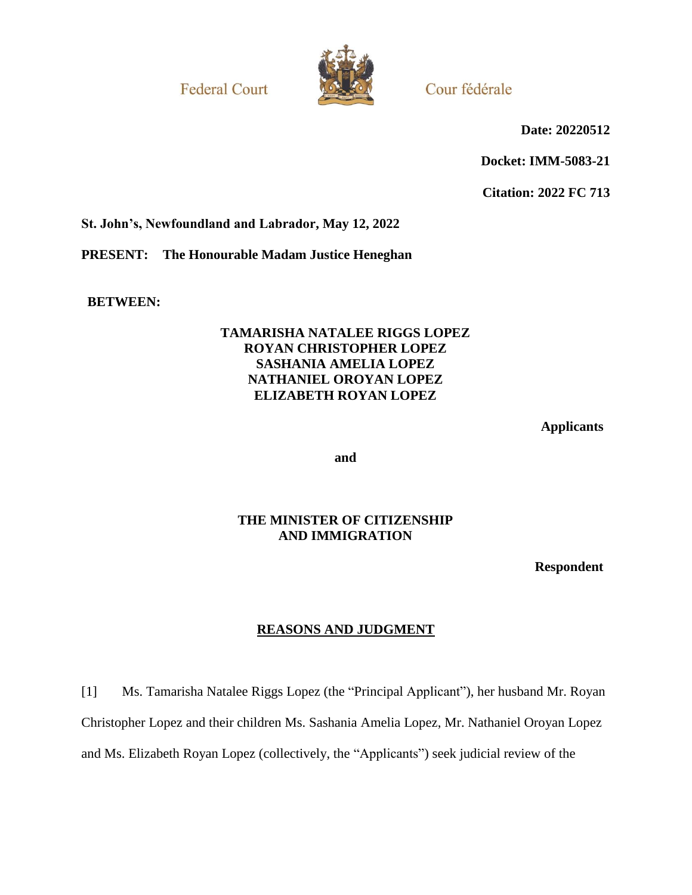**Federal Court** 



Cour fédérale

**Date: 20220512**

**Docket: IMM-5083-21**

**Citation: 2022 FC 713**

**St. John's, Newfoundland and Labrador, May 12, 2022**

**PRESENT: The Honourable Madam Justice Heneghan**

**BETWEEN:**

### **TAMARISHA NATALEE RIGGS LOPEZ ROYAN CHRISTOPHER LOPEZ SASHANIA AMELIA LOPEZ NATHANIEL OROYAN LOPEZ ELIZABETH ROYAN LOPEZ**

**Applicants**

**and**

### **THE MINISTER OF CITIZENSHIP AND IMMIGRATION**

**Respondent**

# **REASONS AND JUDGMENT**

[1] Ms. Tamarisha Natalee Riggs Lopez (the "Principal Applicant"), her husband Mr. Royan Christopher Lopez and their children Ms. Sashania Amelia Lopez, Mr. Nathaniel Oroyan Lopez and Ms. Elizabeth Royan Lopez (collectively, the "Applicants") seek judicial review of the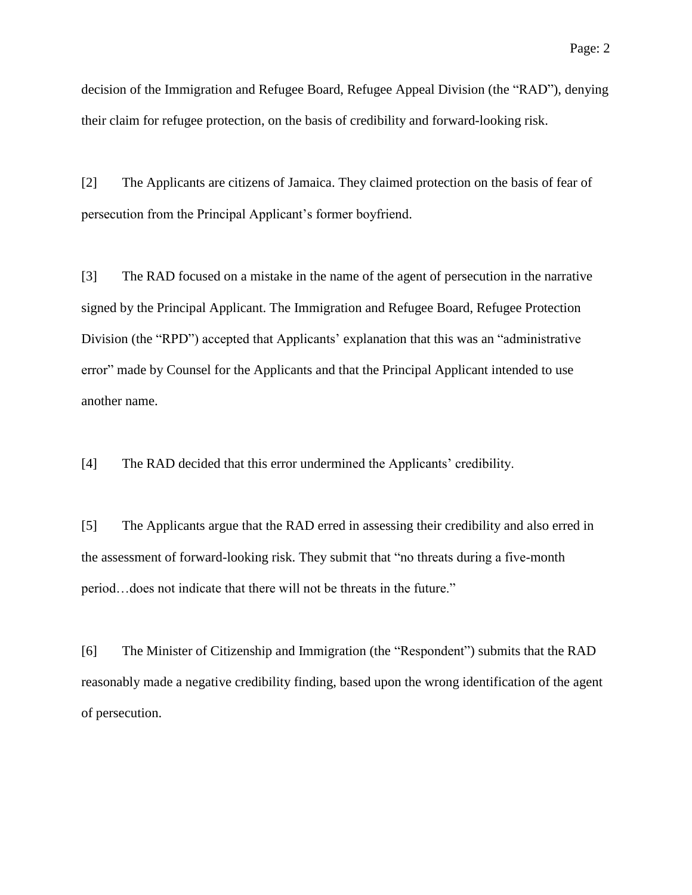decision of the Immigration and Refugee Board, Refugee Appeal Division (the "RAD"), denying their claim for refugee protection, on the basis of credibility and forward-looking risk.

[2] The Applicants are citizens of Jamaica. They claimed protection on the basis of fear of persecution from the Principal Applicant's former boyfriend.

[3] The RAD focused on a mistake in the name of the agent of persecution in the narrative signed by the Principal Applicant. The Immigration and Refugee Board, Refugee Protection Division (the "RPD") accepted that Applicants' explanation that this was an "administrative error" made by Counsel for the Applicants and that the Principal Applicant intended to use another name.

[4] The RAD decided that this error undermined the Applicants' credibility.

[5] The Applicants argue that the RAD erred in assessing their credibility and also erred in the assessment of forward-looking risk. They submit that "no threats during a five-month period…does not indicate that there will not be threats in the future."

[6] The Minister of Citizenship and Immigration (the "Respondent") submits that the RAD reasonably made a negative credibility finding, based upon the wrong identification of the agent of persecution.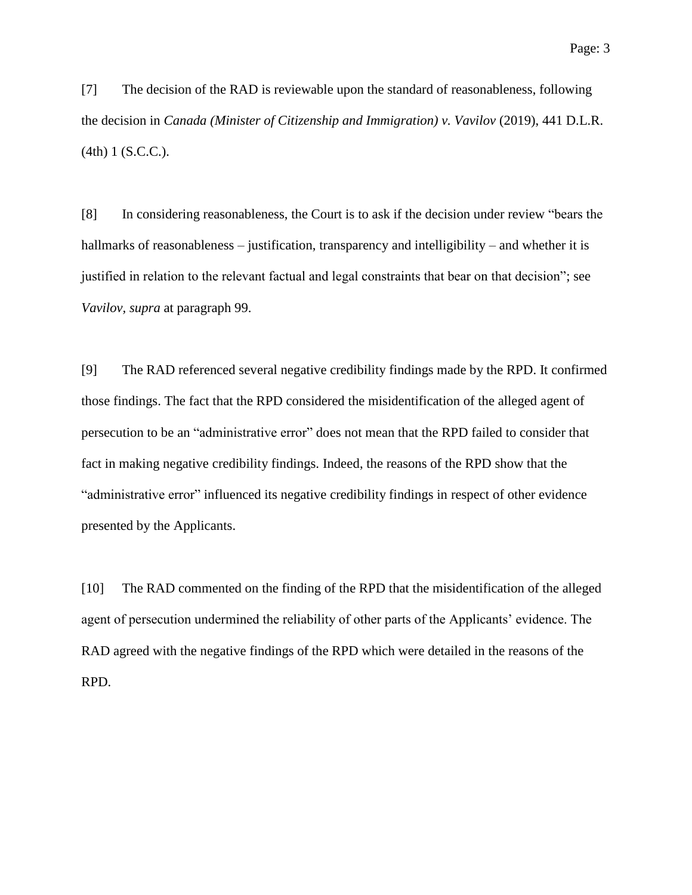[7] The decision of the RAD is reviewable upon the standard of reasonableness, following the decision in *Canada (Minister of Citizenship and Immigration) v. Vavilov* (2019), 441 D.L.R. (4th) 1 (S.C.C.).

[8] In considering reasonableness, the Court is to ask if the decision under review "bears the hallmarks of reasonableness – justification, transparency and intelligibility – and whether it is justified in relation to the relevant factual and legal constraints that bear on that decision"; see *Vavilov, supra* at paragraph 99.

[9] The RAD referenced several negative credibility findings made by the RPD. It confirmed those findings. The fact that the RPD considered the misidentification of the alleged agent of persecution to be an "administrative error" does not mean that the RPD failed to consider that fact in making negative credibility findings. Indeed, the reasons of the RPD show that the "administrative error" influenced its negative credibility findings in respect of other evidence presented by the Applicants.

[10] The RAD commented on the finding of the RPD that the misidentification of the alleged agent of persecution undermined the reliability of other parts of the Applicants' evidence. The RAD agreed with the negative findings of the RPD which were detailed in the reasons of the RPD.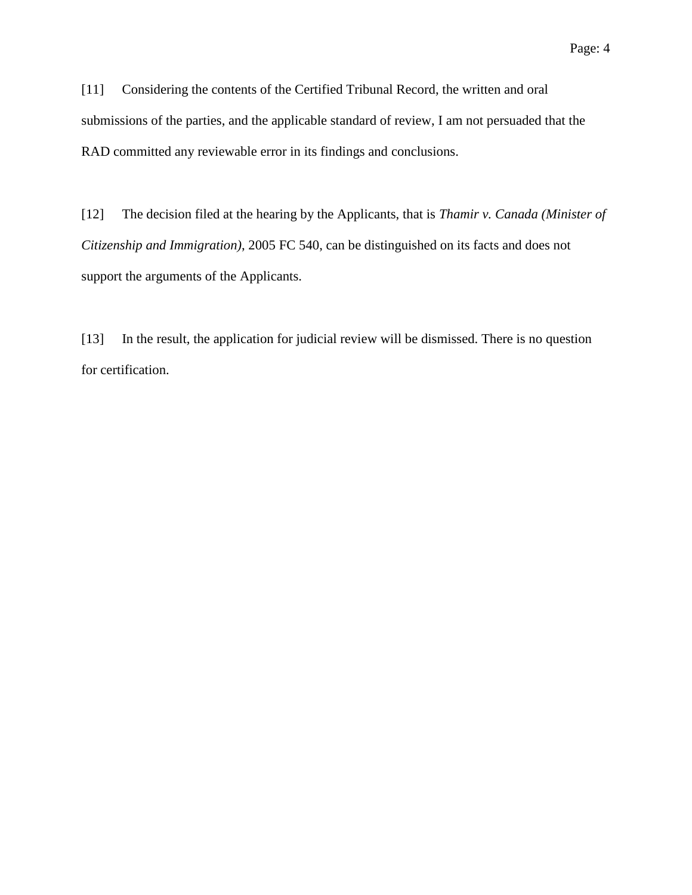[11] Considering the contents of the Certified Tribunal Record, the written and oral submissions of the parties, and the applicable standard of review, I am not persuaded that the RAD committed any reviewable error in its findings and conclusions.

[12] The decision filed at the hearing by the Applicants, that is *Thamir v. Canada (Minister of Citizenship and Immigration)*, 2005 FC 540, can be distinguished on its facts and does not support the arguments of the Applicants.

[13] In the result, the application for judicial review will be dismissed. There is no question for certification.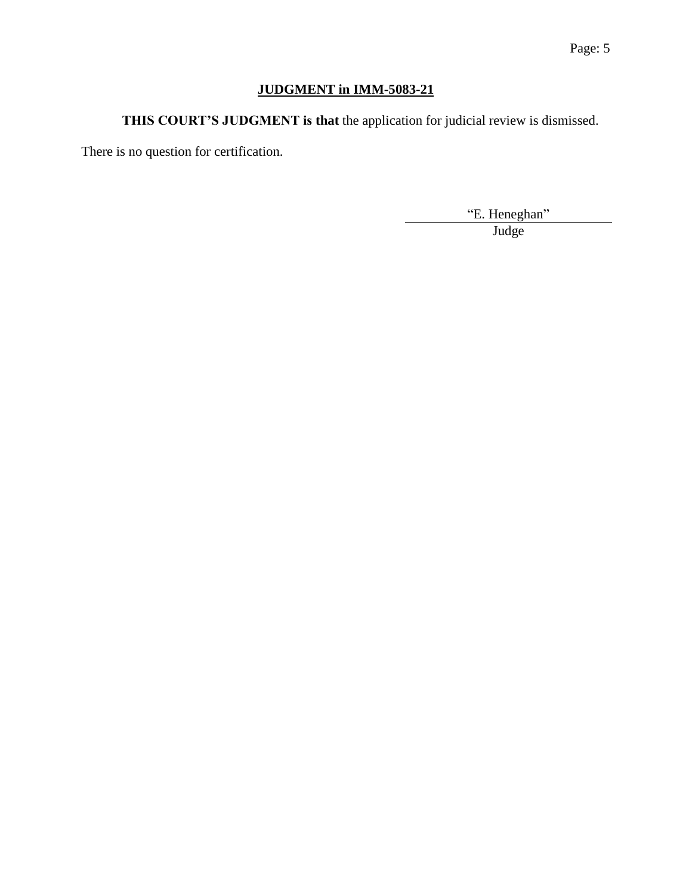# **JUDGMENT in IMM-5083-21**

**THIS COURT'S JUDGMENT is that** the application for judicial review is dismissed.

There is no question for certification.

"E. Heneghan" Judge